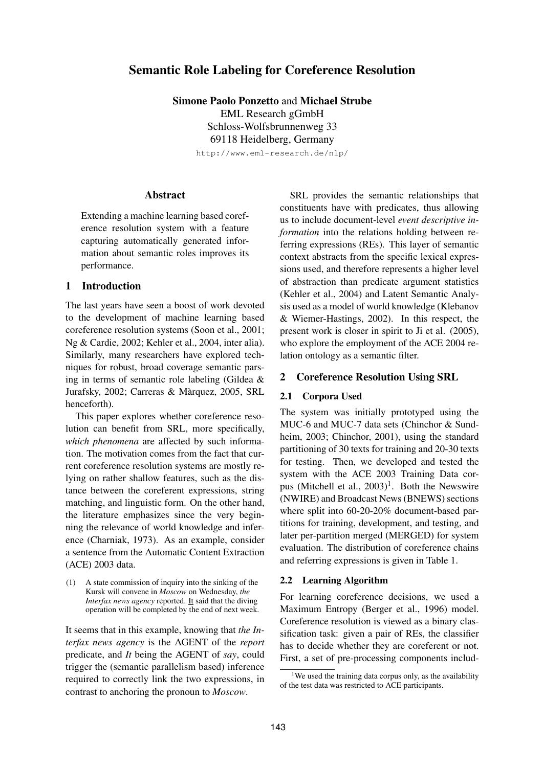# **Semantic Role Labeling for Coreference Resolution**

**Simone Paolo Ponzetto** and **Michael Strube** EML Research gGmbH Schloss-Wolfsbrunnenweg 33 69118 Heidelberg, Germany

http://www.eml-research.de/nlp/

# **Abstract**

Extending a machine learning based coreference resolution system with a feature capturing automatically generated information about semantic roles improves its performance.

### **1 Introduction**

The last years have seen a boost of work devoted to the development of machine learning based coreference resolution systems (Soon et al., 2001; Ng & Cardie, 2002; Kehler et al., 2004, inter alia). Similarly, many researchers have explored techniques for robust, broad coverage semantic parsing in terms of semantic role labeling (Gildea & Jurafsky, 2002; Carreras & Marquez, 2005, SRL ` henceforth).

This paper explores whether coreference resolution can benefit from SRL, more specifically, *which phenomena* are affected by such information. The motivation comes from the fact that current coreference resolution systems are mostly relying on rather shallow features, such as the distance between the coreferent expressions, string matching, and linguistic form. On the other hand, the literature emphasizes since the very beginning the relevance of world knowledge and inference (Charniak, 1973). As an example, consider a sentence from the Automatic Content Extraction (ACE) 2003 data.

(1) A state commission of inquiry into the sinking of the Kursk will convene in *Moscow* on Wednesday, *the Interfax news agency* reported. It said that the diving operation will be completed by the end of next week.

It seems that in this example, knowing that *the Interfax news agency* is the AGENT of the *report* predicate, and *It* being the AGENT of *say*, could trigger the (semantic parallelism based) inference required to correctly link the two expressions, in contrast to anchoring the pronoun to *Moscow*.

SRL provides the semantic relationships that constituents have with predicates, thus allowing us to include document-level *event descriptive information* into the relations holding between referring expressions (REs). This layer of semantic context abstracts from the specific lexical expressions used, and therefore represents a higher level of abstraction than predicate argument statistics (Kehler et al., 2004) and Latent Semantic Analysis used as a model of world knowledge (Klebanov & Wiemer-Hastings, 2002). In this respect, the present work is closer in spirit to Ji et al. (2005), who explore the employment of the ACE 2004 relation ontology as a semantic filter.

# **2 Coreference Resolution Using SRL**

#### **2.1 Corpora Used**

The system was initially prototyped using the MUC-6 and MUC-7 data sets (Chinchor & Sundheim, 2003; Chinchor, 2001), using the standard partitioning of 30 texts for training and 20-30 texts for testing. Then, we developed and tested the system with the ACE 2003 Training Data corpus (Mitchell et al.,  $2003$ )<sup>1</sup>. Both the Newswire (NWIRE) and Broadcast News (BNEWS) sections where split into 60-20-20% document-based partitions for training, development, and testing, and later per-partition merged (MERGED) for system evaluation. The distribution of coreference chains and referring expressions is given in Table 1.

#### **2.2 Learning Algorithm**

For learning coreference decisions, we used a Maximum Entropy (Berger et al., 1996) model. Coreference resolution is viewed as a binary classification task: given a pair of REs, the classifier has to decide whether they are coreferent or not. First, a set of pre-processing components includ-

<sup>&</sup>lt;sup>1</sup>We used the training data corpus only, as the availability of the test data was restricted to ACE participants.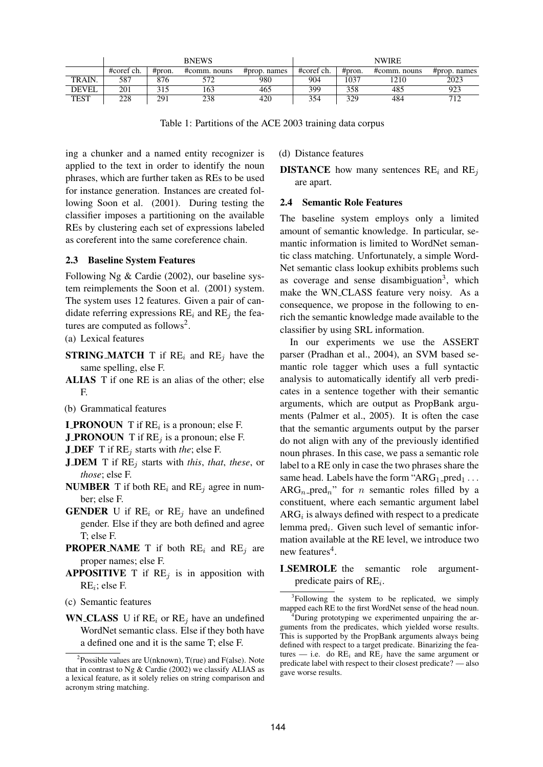|              |            | <b>BNEWS</b> |              | <b>NWIRE</b> |            |           |              |              |
|--------------|------------|--------------|--------------|--------------|------------|-----------|--------------|--------------|
|              | #coref ch. | #pron.       | #comm. nouns | #prop. names | #coref ch. | $#$ pron. | #comm. nouns | #prop. names |
| TRAIN.       | 587        | 876          | 572          | 980          | 904        | $103^{-}$ | 1210         | 2023         |
| <b>DEVEL</b> | 201        |              | 163          | 465          | 399        | 358       | 485          | 923          |
| TEST         | 228        | 291          | 238          | 420          | 354        | 329       | 484          | 712          |

Table 1: Partitions of the ACE 2003 training data corpus

ing a chunker and a named entity recognizer is applied to the text in order to identify the noun phrases, which are further taken as REs to be used for instance generation. Instances are created following Soon et al. (2001). During testing the classifier imposes a partitioning on the available REs by clustering each set of expressions labeled as coreferent into the same coreference chain.

#### **2.3 Baseline System Features**

Following Ng & Cardie (2002), our baseline system reimplements the Soon et al. (2001) system. The system uses 12 features. Given a pair of candidate referring expressions  $RE<sub>i</sub>$  and  $RE<sub>j</sub>$  the features are computed as follows<sup>2</sup>.

- (a) Lexical features
- **STRING MATCH** T if  $RE_i$  and  $RE_j$  have the same spelling, else F.
- **ALIAS** T if one RE is an alias of the other; else F.
- (b) Grammatical features
- **I\_PRONOUN** T if  $RE_i$  is a pronoun; else F.
- **J\_PRONOUN** T if  $RE<sub>j</sub>$  is a pronoun; else F.
- **J\_DEF** T if  $RE<sub>i</sub>$  starts with *the*; else F.
- **J\_DEM** T if  $RE<sub>j</sub>$  starts with *this*, *that*, *these*, or *those*; else F.
- **NUMBER** T if both  $RE_i$  and  $RE_j$  agree in number; else F.
- **GENDER** U if  $RE_i$  or  $RE_j$  have an undefined gender. Else if they are both defined and agree T; else F.
- **PROPER NAME** T if both  $RE_i$  and  $RE_j$  are proper names; else F.
- **APPOSITIVE** T if  $RE_i$  is in apposition with  $RE_i$ ; else F.
- (c) Semantic features
- **WN\_CLASS** U if  $RE_i$  or  $RE_j$  have an undefined WordNet semantic class. Else if they both have a defined one and it is the same T; else F.

(d) Distance features

**DISTANCE** how many sentences  $RE_i$  and  $RE_j$ are apart.

#### **2.4 Semantic Role Features**

The baseline system employs only a limited amount of semantic knowledge. In particular, semantic information is limited to WordNet semantic class matching. Unfortunately, a simple Word-Net semantic class lookup exhibits problems such as coverage and sense disambiguation<sup>3</sup>, which make the WN CLASS feature very noisy. As a consequence, we propose in the following to enrich the semantic knowledge made available to the classifier by using SRL information.

In our experiments we use the ASSERT parser (Pradhan et al., 2004), an SVM based semantic role tagger which uses a full syntactic analysis to automatically identify all verb predicates in a sentence together with their semantic arguments, which are output as PropBank arguments (Palmer et al., 2005). It is often the case that the semantic arguments output by the parser do not align with any of the previously identified noun phrases. In this case, we pass a semantic role label to a RE only in case the two phrases share the same head. Labels have the form " $ARG<sub>1</sub>$ -pred<sub>1</sub>...  $ARG_n$ -pred<sub>n</sub>" for *n* semantic roles filled by a constituent, where each semantic argument label  $ARG<sub>i</sub>$  is always defined with respect to a predicate lemma  $pred_i$ . Given such level of semantic information available at the RE level, we introduce two new features<sup>4</sup>.

**I SEMROLE** the semantic role argumentpredicate pairs of  $RE_i$ .

<sup>&</sup>lt;sup>2</sup>Possible values are U(nknown),  $T$ (rue) and F(alse). Note that in contrast to Ng & Cardie (2002) we classify ALIAS as a lexical feature, as it solely relies on string comparison and acronym string matching.

<sup>&</sup>lt;sup>3</sup>Following the system to be replicated, we simply mapped each RE to the first WordNet sense of the head noun.

<sup>&</sup>lt;sup>4</sup>During prototyping we experimented unpairing the arguments from the predicates, which yielded worse results. This is supported by the PropBank arguments always being defined with respect to a target predicate. Binarizing the features — i.e. do  $RE_i$  and  $RE_j$  have the same argument or predicate label with respect to their closest predicate? — also gave worse results.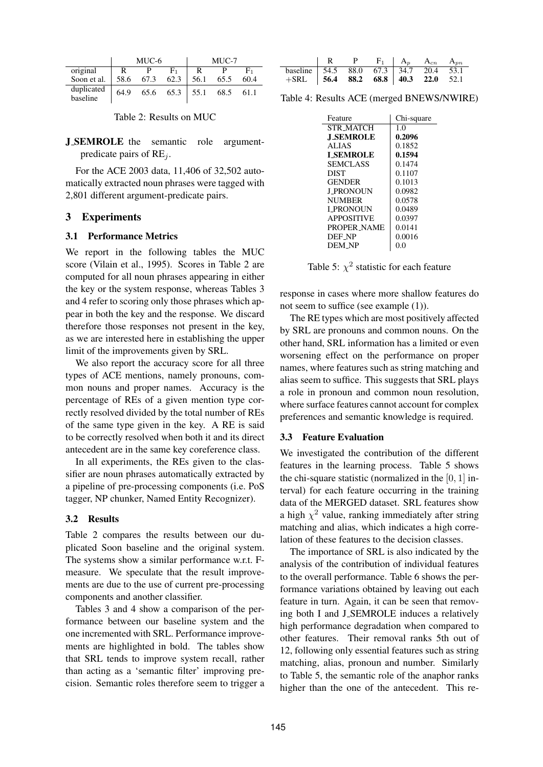|                        |      | MUC-6 |      | MUC-7 |      |      |  |
|------------------------|------|-------|------|-------|------|------|--|
| original               | R    |       | в,   |       |      | Е,   |  |
| Soon et al.            | 58.6 | 67.3  | 62.3 | 56.1  | 65.5 | 60.4 |  |
| duplicated<br>baseline | 64.9 | 65.6  | 65.3 | 55.1  | 68.5 | 61.1 |  |

Table 2: Results on MUC

**J SEMROLE** the semantic role argumentpredicate pairs of  $RE_i$ .

For the ACE 2003 data, 11,406 of 32,502 automatically extracted noun phrases were tagged with 2,801 different argument-predicate pairs.

# **3 Experiments**

### **3.1 Performance Metrics**

We report in the following tables the MUC score (Vilain et al., 1995). Scores in Table 2 are computed for all noun phrases appearing in either the key or the system response, whereas Tables 3 and 4 refer to scoring only those phrases which appear in both the key and the response. We discard therefore those responses not present in the key, as we are interested here in establishing the upper limit of the improvements given by SRL.

We also report the accuracy score for all three types of ACE mentions, namely pronouns, common nouns and proper names. Accuracy is the percentage of REs of a given mention type correctly resolved divided by the total number of REs of the same type given in the key. A RE is said to be correctly resolved when both it and its direct antecedent are in the same key coreference class.

In all experiments, the REs given to the classifier are noun phrases automatically extracted by a pipeline of pre-processing components (i.e. PoS tagger, NP chunker, Named Entity Recognizer).

# **3.2 Results**

Table 2 compares the results between our duplicated Soon baseline and the original system. The systems show a similar performance w.r.t. Fmeasure. We speculate that the result improvements are due to the use of current pre-processing components and another classifier.

Tables 3 and 4 show a comparison of the performance between our baseline system and the one incremented with SRL. Performance improvements are highlighted in bold. The tables show that SRL tends to improve system recall, rather than acting as a 'semantic filter' improving precision. Semantic roles therefore seem to trigger a

|                                                                              | $\begin{array}{ c c c c c c c c } \hline \ \text{R} & \text{P} & \text{F}_1 & \text{A}_p & \text{A}_{cn} & \text{A}_{pn} \hline \end{array}$ |  |  |  |
|------------------------------------------------------------------------------|----------------------------------------------------------------------------------------------------------------------------------------------|--|--|--|
|                                                                              |                                                                                                                                              |  |  |  |
| baseline 54.5 88.0 67.3 34.7 20.4 53.1<br>+SRL 56.4 88.2 68.8 40.3 22.0 52.1 |                                                                                                                                              |  |  |  |

Table 4: Results ACE (merged BNEWS/NWIRE)

| Feature           | Chi-square |
|-------------------|------------|
| <b>STR MATCH</b>  | 1.0        |
| <b>J_SEMROLE</b>  | 0.2096     |
| <b>ALIAS</b>      | 0.1852     |
| <b>I SEMROLE</b>  | 0.1594     |
| <b>SEMCLASS</b>   | 0.1474     |
| <b>DIST</b>       | 0.1107     |
| <b>GENDER</b>     | 0.1013     |
| <b>J PRONOUN</b>  | 0.0982     |
| <b>NUMBER</b>     | 0.0578     |
| I PRONOUN         | 0.0489     |
| <b>APPOSITIVE</b> | 0.0397     |
| PROPER NAME       | 0.0141     |
| DEF NP            | 0.0016     |
| DEM NP            | 0.0        |

Table 5:  $\chi^2$  statistic for each feature

response in cases where more shallow features do not seem to suffice (see example (1)).

The RE types which are most positively affected by SRL are pronouns and common nouns. On the other hand, SRL information has a limited or even worsening effect on the performance on proper names, where features such as string matching and alias seem to suffice. This suggests that SRL plays a role in pronoun and common noun resolution, where surface features cannot account for complex preferences and semantic knowledge is required.

### **3.3 Feature Evaluation**

We investigated the contribution of the different features in the learning process. Table 5 shows the chi-square statistic (normalized in the  $[0, 1]$  interval) for each feature occurring in the training data of the MERGED dataset. SRL features show a high  $\chi^2$  value, ranking immediately after string matching and alias, which indicates a high correlation of these features to the decision classes.

The importance of SRL is also indicated by the analysis of the contribution of individual features to the overall performance. Table 6 shows the performance variations obtained by leaving out each feature in turn. Again, it can be seen that removing both I and J\_SEMROLE induces a relatively high performance degradation when compared to other features. Their removal ranks 5th out of 12, following only essential features such as string matching, alias, pronoun and number. Similarly to Table 5, the semantic role of the anaphor ranks higher than the one of the antecedent. This re-